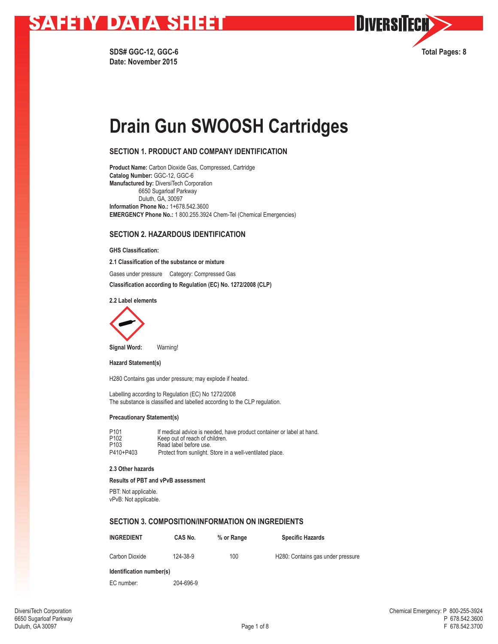

**Date: November 2015**



# **Drain Gun SWOOSH Cartridges**

## **SECTION 1. PRODUCT AND COMPANY IDENTIFICATION**

**Product Name:** Carbon Dioxide Gas, Compressed, Cartridge **Catalog Number:** GGC-12, GGC-6 **Manufactured by:** DiversiTech Corporation 6650 Sugarloaf Parkway Duluth, GA, 30097 **Information Phone No.:** 1+678.542.3600 **EMERGENCY Phone No.:** 1 800.255.3924 Chem-Tel (Chemical Emergencies)

## **SECTION 2. HAZARDOUS IDENTIFICATION**

**GHS Classification:**

**2.1 Classification of the substance or mixture**

Gases under pressure Category: Compressed Gas

**Classification according to Regulation (EC) No. 1272/2008 (CLP)**

**2.2 Label elements**



**Signal Word:** Warning!

**Hazard Statement(s)**

H280 Contains gas under pressure; may explode if heated.

Labelling according to Regulation (EC) No 1272/2008 The substance is classified and labelled according to the CLP regulation.

#### **Precautionary Statement(s)**

| P <sub>101</sub> | If medical advice is needed, have product container or label at hand. |
|------------------|-----------------------------------------------------------------------|
| P <sub>102</sub> | Keep out of reach of children.                                        |
| P <sub>103</sub> | Read label before use.                                                |
| P410+P403        | Protect from sunlight. Store in a well-ventilated place.              |

### **2.3 Other hazards**

**Results of PBT and vPvB assessment**

PBT: Not applicable.

vPvB: Not applicable.

## **SECTION 3. COMPOSITION/INFORMATION ON INGREDIENTS**

| <b>INGREDIENT</b> | CAS No.  | % or Range | <b>Specific Hazards</b>           |
|-------------------|----------|------------|-----------------------------------|
| Carbon Dioxide    | 124-38-9 | 100        | H280: Contains gas under pressure |

**Identification number(s)**

EC number: 204-696-9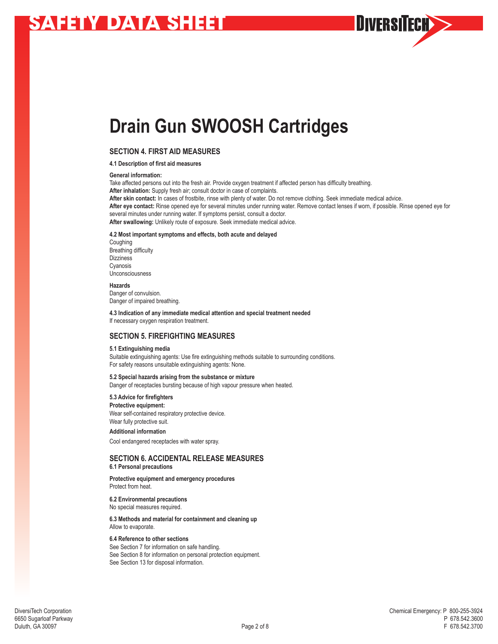**Drain Gun SWOOSH Cartridges**

## **SECTION 4. FIRST AID MEASURES**

#### **4.1 Description of first aid measures**

#### **General information:**

Take affected persons out into the fresh air. Provide oxygen treatment if affected person has difficulty breathing. **After inhalation:** Supply fresh air; consult doctor in case of complaints. **After skin contact:** In cases of frostbite, rinse with plenty of water. Do not remove clothing. Seek immediate medical advice. **After eye contact:** Rinse opened eye for several minutes under running water. Remove contact lenses if worn, if possible. Rinse opened eye for several minutes under running water. If symptoms persist, consult a doctor. **After swallowing:** Unlikely route of exposure. Seek immediate medical advice.

#### **4.2 Most important symptoms and effects, both acute and delayed**

Coughing Breathing difficulty **Dizziness** Cyanosis Unconsciousness

#### **Hazards**

Danger of convulsion. Danger of impaired breathing.

**4.3 Indication of any immediate medical attention and special treatment needed** If necessary oxygen respiration treatment.

## **SECTION 5. FIREFIGHTING MEASURES**

#### **5.1 Extinguishing media**

Suitable extinguishing agents: Use fire extinguishing methods suitable to surrounding conditions. For safety reasons unsuitable extinguishing agents: None.

## **5.2 Special hazards arising from the substance or mixture**

Danger of receptacles bursting because of high vapour pressure when heated.

### **5.3 Advice for firefighters Protective equipment:**

Wear self-contained respiratory protective device. Wear fully protective suit. **Additional information** 

## Cool endangered receptacles with water spray.

### **SECTION 6. ACCIDENTAL RELEASE MEASURES 6.1 Personal precautions**

**Protective equipment and emergency procedures**  Protect from heat.

#### **6.2 Environmental precautions**  No special measures required.

**6.3 Methods and material for containment and cleaning up**  Allow to evaporate.

#### **6.4 Reference to other sections**

See Section 7 for information on safe handling. See Section 8 for information on personal protection equipment. See Section 13 for disposal information.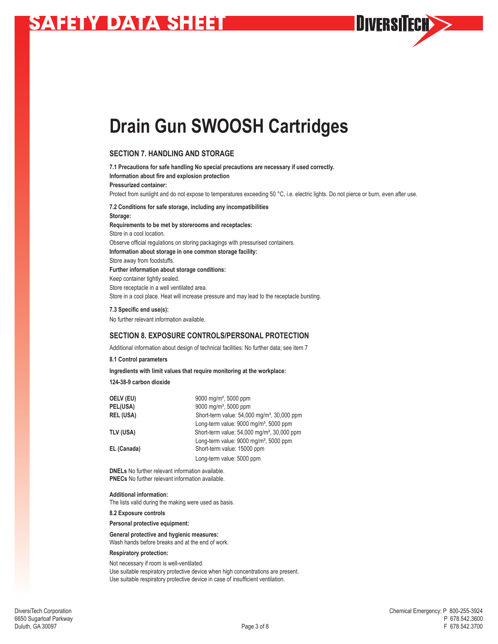**Drain Gun SWOOSH Cartridges**

## **SECTION 7. HANDLING AND STORAGE**

**7.1 Precautions for safe handling No special precautions are necessary if used correctly. Information about fire and explosion protection Pressurized container:**  Protect from sunlight and do not expose to temperatures exceeding 50 °C, i.e. electric lights. Do not pierce or burn, even after use. **7.2 Conditions for safe storage, including any incompatibilities Storage: Requirements to be met by storerooms and receptacles:** Store in a cool location. Observe official regulations on storing packagings with pressurised containers. **Information about storage in one common storage facility:**  Store away from foodstuffs. **Further information about storage conditions:** Keep container tightly sealed. Store receptacle in a well ventilated area. Store in a cool place. Heat will increase pressure and may lead to the receptacle bursting.

### **7.3 Specific end use(s):**

No further relevant information available.

## **SECTION 8. EXPOSURE CONTROLS/PERSONAL PROTECTION**

Additional information about design of technical facilities: No further data; see item 7

### **8.1 Control parameters**

**Ingredients with limit values that require monitoring at the workplace:** 

**124-38-9 carbon dioxide**

| OELV (EU)        | 9000 mg/m <sup>3</sup> , 5000 ppm                       |
|------------------|---------------------------------------------------------|
| PEL(USA)         | 9000 mg/m <sup>3</sup> , 5000 ppm                       |
| <b>REL (USA)</b> | Short-term value: 54,000 mg/m <sup>3</sup> , 30,000 ppm |
|                  | Long-term value: $9000 \text{ mg/m}^3$ , 5000 ppm       |
| TLV (USA)        | Short-term value: 54,000 mg/m <sup>3</sup> , 30,000 ppm |
|                  | Long-term value: 9000 mg/m <sup>3</sup> , 5000 ppm      |
| EL (Canada)      | Short-term value: 15000 ppm                             |
|                  | Long-term value: 5000 ppm                               |

**DNELs** No further relevant information available. **PNECs** No further relevant information available.

#### **Additional information:**

The lists valid during the making were used as basis.

**8.2 Exposure controls**

**Personal protective equipment:**

**General protective and hygienic measures:**  Wash hands before breaks and at the end of work.

## **Respiratory protection:**

Not necessary if room is well-ventilated. Use suitable respiratory protective device when high concentrations are present. Use suitable respiratory protective device in case of insufficient ventilation.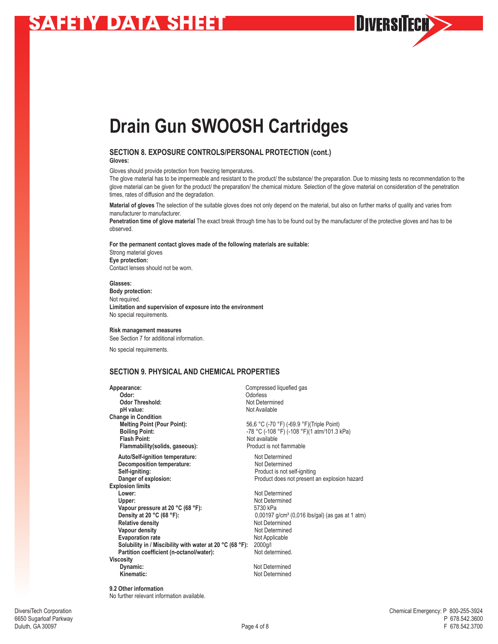**Drain Gun SWOOSH Cartridges**

## **SECTION 8. EXPOSURE CONTROLS/PERSONAL PROTECTION (cont.) Gloves:**

Gloves should provide protection from freezing temperatures.

The glove material has to be impermeable and resistant to the product/ the substance/ the preparation. Due to missing tests no recommendation to the glove material can be given for the product/ the preparation/ the chemical mixture. Selection of the glove material on consideration of the penetration times, rates of diffusion and the degradation.

DIVERSITECH>>

**Material of gloves** The selection of the suitable gloves does not only depend on the material, but also on further marks of quality and varies from manufacturer to manufacturer.

**Penetration time of glove material** The exact break through time has to be found out by the manufacturer of the protective gloves and has to be observed.

**For the permanent contact gloves made of the following materials are suitable:** Strong material gloves **Eye protection:** Contact lenses should not be worn.

**Glasses: Body protection:**  Not required. **Limitation and supervision of exposure into the environment**  No special requirements.

#### **Risk management measures**

See Section 7 for additional information.

No special requirements.

## **SECTION 9. PHYSICAL AND CHEMICAL PROPERTIES**

| Appearance:                                              | Compressed liquefied gas                                      |
|----------------------------------------------------------|---------------------------------------------------------------|
| Odor:                                                    | Odorless                                                      |
| <b>Odor Threshold:</b>                                   | Not Determined                                                |
| pH value:                                                | Not Available                                                 |
| <b>Change in Condition</b>                               |                                                               |
| <b>Melting Point (Pour Point):</b>                       | 56,6 °C (-70 °F) (-69.9 °F) (Triple Point)                    |
| <b>Boiling Point:</b>                                    | -78 °C (-108 °F) (-108 °F)(1 atm/101.3 kPa)                   |
| <b>Flash Point:</b>                                      | Not available                                                 |
| Flammability (solids, gaseous):                          | Product is not flammable                                      |
| Auto/Self-ignition temperature:                          | Not Determined                                                |
| Decomposition temperature:                               | Not Determined                                                |
| Self-igniting:                                           | Product is not self-igniting                                  |
| Danger of explosion:                                     | Product does not present an explosion hazard                  |
| <b>Explosion limits</b>                                  |                                                               |
| Lower:                                                   | Not Determined                                                |
| Upper:                                                   | Not Determined                                                |
| Vapour pressure at 20 °C (68 °F):                        | 5730 kPa                                                      |
| Density at 20 °C (68 °F):                                | $0,00197$ g/cm <sup>3</sup> (0,016 lbs/gal) (as gas at 1 atm) |
| <b>Relative density</b>                                  | Not Determined                                                |
| Vapour density                                           | Not Determined                                                |
| <b>Evaporation rate</b>                                  | Not Applicable                                                |
| Solubility in / Miscibility with water at 20 °C (68 °F): | 2000g/l                                                       |
| Partition coefficient (n-octanol/water):                 | Not determined.                                               |
| <b>Viscosity</b>                                         |                                                               |
| Dynamic:                                                 | Not Determined                                                |
| Kinematic:                                               | Not Determined                                                |
|                                                          |                                                               |

**9.2 Other information** No further relevant information available.

6650 Sugarloaf Parkway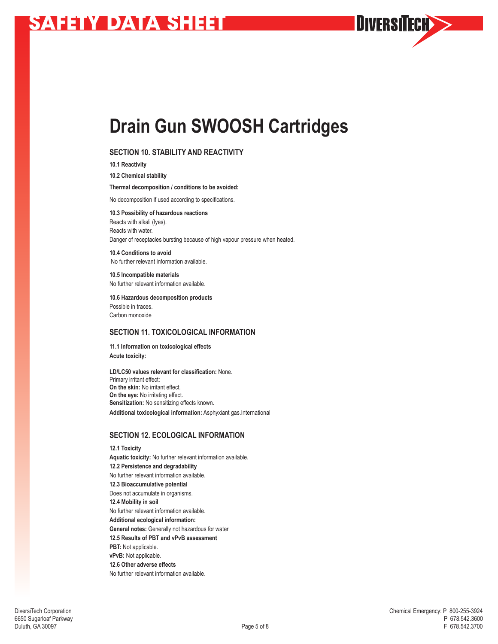

## **SECTION 10. STABILITY AND REACTIVITY**

**10.1 Reactivity**

**10.2 Chemical stability**

**Thermal decomposition / conditions to be avoided:**

No decomposition if used according to specifications.

**10.3 Possibility of hazardous reactions** Reacts with alkali (lyes). Reacts with water. Danger of receptacles bursting because of high vapour pressure when heated.

**10.4 Conditions to avoid** No further relevant information available.

**10.5 Incompatible materials** No further relevant information available.

**10.6 Hazardous decomposition products** Possible in traces. Carbon monoxide

## **SECTION 11. TOXICOLOGICAL INFORMATION**

**11.1 Information on toxicological effects Acute toxicity:**

**LD/LC50 values relevant for classification:** None. Primary irritant effect: **On the skin:** No irritant effect. **On the eye:** No irritating effect. **Sensitization:** No sensitizing effects known. **Additional toxicological information:** Asphyxiant gas.International

## **SECTION 12. ECOLOGICAL INFORMATION**

**12.1 Toxicity Aquatic toxicity:** No further relevant information available. **12.2 Persistence and degradability** No further relevant information available. **12.3 Bioaccumulative potentia**l Does not accumulate in organisms. **12.4 Mobility in soil**  No further relevant information available. **Additional ecological information: General notes:** Generally not hazardous for water **12.5 Results of PBT and vPvB assessment PBT:** Not applicable. **vPvB:** Not applicable. **12.6 Other adverse effects**  No further relevant information available.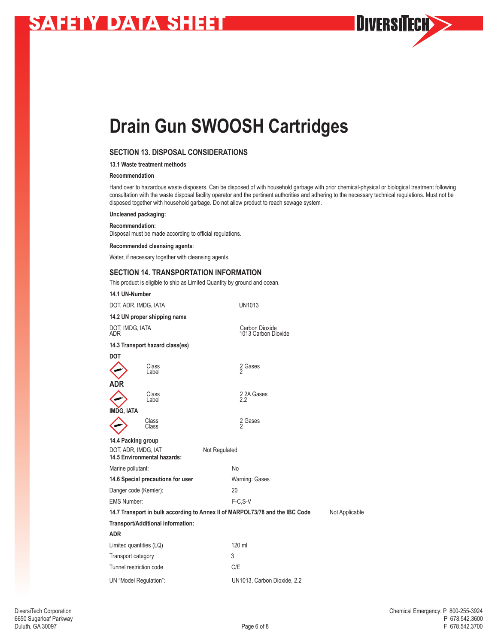**Drain Gun SWOOSH Cartridges**

## **SECTION 13. DISPOSAL CONSIDERATIONS**

**13.1 Waste treatment methods**

### **Recommendation**

Hand over to hazardous waste disposers. Can be disposed of with household garbage with prior chemical-physical or biological treatment following consultation with the waste disposal facility operator and the pertinent authorities and adhering to the necessary technical regulations. Must not be disposed together with household garbage. Do not allow product to reach sewage system.

### **Uncleaned packaging:**

**Recommendation:** 

Disposal must be made according to official regulations.

**Recommended cleansing agents**:

Water, if necessary together with cleansing agents.

### **SECTION 14. TRANSPORTATION INFORMATION**

This product is eligible to ship as Limited Quantity by ground and ocean.

| 14.1 UN-Number          |                                                    |                                                                              |                |
|-------------------------|----------------------------------------------------|------------------------------------------------------------------------------|----------------|
|                         | DOT, ADR, IMDG, IATA                               | UN1013                                                                       |                |
|                         | 14.2 UN proper shipping name                       |                                                                              |                |
| DOT, IMDG, IATA<br>ADR  |                                                    | Carbon Dioxide<br>1013 Carbon Dioxide                                        |                |
|                         | 14.3 Transport hazard class(es)                    |                                                                              |                |
| <b>DOT</b>              |                                                    |                                                                              |                |
|                         | Class<br>Label                                     | 2 Gases                                                                      |                |
| <b>ADR</b>              |                                                    |                                                                              |                |
|                         | Class<br>Label                                     | 2 2A Gases<br>2.2                                                            |                |
| <b>IMDG, IATA</b>       |                                                    |                                                                              |                |
|                         | Class<br>Class                                     | 2 Gases                                                                      |                |
| 14.4 Packing group      |                                                    |                                                                              |                |
|                         | DOT, ADR, IMDG, IAT<br>14.5 Environmental hazards: | Not Regulated                                                                |                |
| Marine pollutant:       |                                                    | <b>No</b>                                                                    |                |
|                         | 14.6 Special precautions for user                  | Warning: Gases                                                               |                |
|                         | Danger code (Kemler):                              | 20                                                                           |                |
| <b>EMS Number:</b>      |                                                    | F-C.S-V                                                                      |                |
|                         |                                                    | 14.7 Transport in bulk according to Annex II of MARPOL73/78 and the IBC Code | Not Applicable |
|                         | Transport/Additional information:                  |                                                                              |                |
| <b>ADR</b>              |                                                    |                                                                              |                |
| Limited quantities (LQ) |                                                    | 120 ml                                                                       |                |
| Transport category      |                                                    | 3                                                                            |                |
| Tunnel restriction code |                                                    | C/E                                                                          |                |
|                         | UN "Model Regulation":                             | UN1013, Carbon Dioxide, 2.2                                                  |                |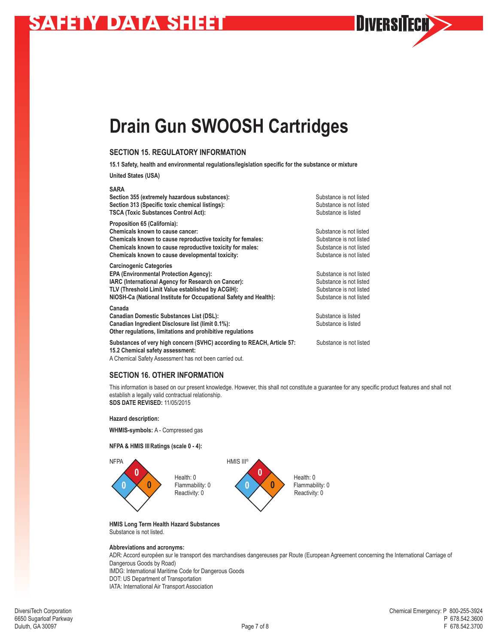**Drain Gun SWOOSH Cartridges**

## **SECTION 15. REGULATORY INFORMATION**

**15.1 Safety, health and environmental regulations/legislation specific for the substance or mixture**

**United States (USA)**

| <b>SARA</b>                                                                                                                                                                                                                                                      |                                                                                                          |
|------------------------------------------------------------------------------------------------------------------------------------------------------------------------------------------------------------------------------------------------------------------|----------------------------------------------------------------------------------------------------------|
| Section 355 (extremely hazardous substances):<br>Section 313 (Specific toxic chemical listings):<br><b>TSCA (Toxic Substances Control Act):</b>                                                                                                                  | Substance is not listed<br>Substance is not listed<br>Substance is listed                                |
| Proposition 65 (California):<br>Chemicals known to cause cancer:<br>Chemicals known to cause reproductive toxicity for females:<br>Chemicals known to cause reproductive toxicity for males:<br>Chemicals known to cause developmental toxicity:                 | Substance is not listed<br>Substance is not listed<br>Substance is not listed<br>Substance is not listed |
| <b>Carcinogenic Categories</b><br><b>EPA (Environmental Protection Agency):</b><br>IARC (International Agency for Research on Cancer):<br>TLV (Threshold Limit Value established by ACGIH):<br>NIOSH-Ca (National Institute for Occupational Safety and Health): | Substance is not listed<br>Substance is not listed<br>Substance is not listed<br>Substance is not listed |
| Canada<br><b>Canadian Domestic Substances List (DSL):</b><br>Canadian Ingredient Disclosure list (limit 0.1%):<br>Other regulations, limitations and prohibitive regulations                                                                                     | Substance is listed<br>Substance is listed                                                               |
| Substances of very high concern (SVHC) according to REACH, Article 57:<br>15.2 Chemical safety assessment:                                                                                                                                                       | Substance is not listed                                                                                  |
|                                                                                                                                                                                                                                                                  |                                                                                                          |

A Chemical Safety Assessment has not been carried out.

## **SECTION 16. OTHER INFORMATION**

This information is based on our present knowledge. However, this shall not constitute a guarantee for any specific product features and shall not establish a legally valid contractual relationship. **SDS DATE REVISED:** 11/05/2015

**Hazard description:**

**WHMIS-symbols:** A - Compressed gas

#### **NFPA & HMIS IIIRatings (scale 0 - 4):**



**HMIS Long Term Health Hazard Substances** Substance is not listed.

#### **Abbreviations and acronyms:**

ADR: Accord européen sur le transport des marchandises dangereuses par Route (European Agreement concerning the International Carriage of Dangerous Goods by Road) IMDG: International Maritime Code for Dangerous Goods DOT: US Department of Transportation

IATA: International Air Transport Association